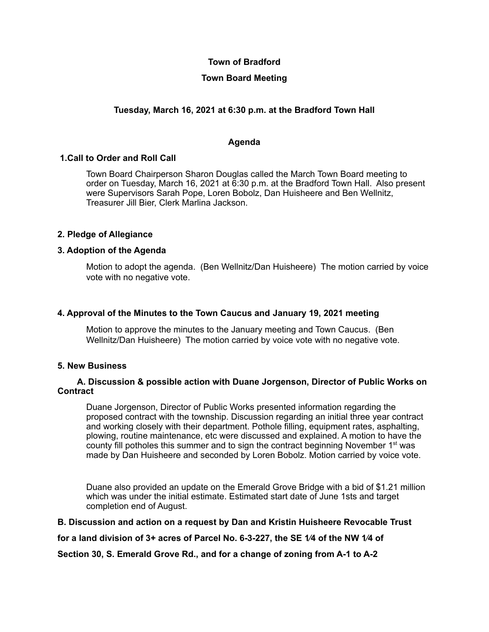## **Town of Bradford**

# **Town Board Meeting**

# **Tuesday, March 16, 2021 at 6:30 p.m. at the Bradford Town Hall**

### **Agenda**

## **1.Call to Order and Roll Call**

Town Board Chairperson Sharon Douglas called the March Town Board meeting to order on Tuesday, March 16, 2021 at 6:30 p.m. at the Bradford Town Hall. Also present were Supervisors Sarah Pope, Loren Bobolz, Dan Huisheere and Ben Wellnitz, Treasurer Jill Bier, Clerk Marlina Jackson.

### **2. Pledge of Allegiance**

### **3. Adoption of the Agenda**

Motion to adopt the agenda. (Ben Wellnitz/Dan Huisheere) The motion carried by voice vote with no negative vote.

### **4. Approval of the Minutes to the Town Caucus and January 19, 2021 meeting**

Motion to approve the minutes to the January meeting and Town Caucus. (Ben Wellnitz/Dan Huisheere) The motion carried by voice vote with no negative vote.

### **5. New Business**

### **A. Discussion & possible action with Duane Jorgenson, Director of Public Works on Contract**

Duane Jorgenson, Director of Public Works presented information regarding the proposed contract with the township. Discussion regarding an initial three year contract and working closely with their department. Pothole filling, equipment rates, asphalting, plowing, routine maintenance, etc were discussed and explained. A motion to have the county fill potholes this summer and to sign the contract beginning November 1<sup>st</sup> was made by Dan Huisheere and seconded by Loren Bobolz. Motion carried by voice vote.

Duane also provided an update on the Emerald Grove Bridge with a bid of \$1.21 million which was under the initial estimate. Estimated start date of June 1sts and target completion end of August.

### **B. Discussion and action on a request by Dan and Kristin Huisheere Revocable Trust**

**for a land division of 3+ acres of Parcel No. 6-3-227, the SE 1⁄4 of the NW 1⁄4 of**

**Section 30, S. Emerald Grove Rd., and for a change of zoning from A-1 to A-2**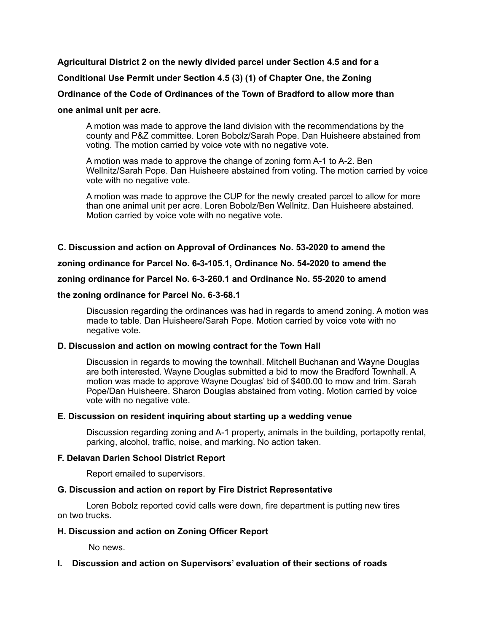### **Agricultural District 2 on the newly divided parcel under Section 4.5 and for a**

## **Conditional Use Permit under Section 4.5 (3) (1) of Chapter One, the Zoning**

### **Ordinance of the Code of Ordinances of the Town of Bradford to allow more than**

#### **one animal unit per acre.**

A motion was made to approve the land division with the recommendations by the county and P&Z committee. Loren Bobolz/Sarah Pope. Dan Huisheere abstained from voting. The motion carried by voice vote with no negative vote.

A motion was made to approve the change of zoning form A-1 to A-2. Ben Wellnitz/Sarah Pope. Dan Huisheere abstained from voting. The motion carried by voice vote with no negative vote.

A motion was made to approve the CUP for the newly created parcel to allow for more than one animal unit per acre. Loren Bobolz/Ben Wellnitz. Dan Huisheere abstained. Motion carried by voice vote with no negative vote.

### **C. Discussion and action on Approval of Ordinances No. 53-2020 to amend the**

**zoning ordinance for Parcel No. 6-3-105.1, Ordinance No. 54-2020 to amend the**

#### **zoning ordinance for Parcel No. 6-3-260.1 and Ordinance No. 55-2020 to amend**

#### **the zoning ordinance for Parcel No. 6-3-68.1**

Discussion regarding the ordinances was had in regards to amend zoning. A motion was made to table. Dan Huisheere/Sarah Pope. Motion carried by voice vote with no negative vote.

#### **D. Discussion and action on mowing contract for the Town Hall**

Discussion in regards to mowing the townhall. Mitchell Buchanan and Wayne Douglas are both interested. Wayne Douglas submitted a bid to mow the Bradford Townhall. A motion was made to approve Wayne Douglas' bid of \$400.00 to mow and trim. Sarah Pope/Dan Huisheere. Sharon Douglas abstained from voting. Motion carried by voice vote with no negative vote.

### **E. Discussion on resident inquiring about starting up a wedding venue**

Discussion regarding zoning and A-1 property, animals in the building, portapotty rental, parking, alcohol, traffic, noise, and marking. No action taken.

### **F. Delavan Darien School District Report**

Report emailed to supervisors.

### **G. Discussion and action on report by Fire District Representative**

Loren Bobolz reported covid calls were down, fire department is putting new tires on two trucks.

#### **H. Discussion and action on Zoning Officer Report**

No news.

### **I. Discussion and action on Supervisors' evaluation of their sections of roads**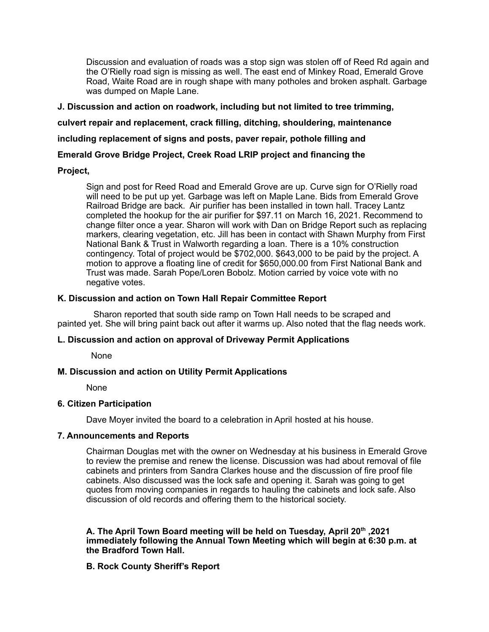Discussion and evaluation of roads was a stop sign was stolen off of Reed Rd again and the O'Rielly road sign is missing as well. The east end of Minkey Road, Emerald Grove Road, Waite Road are in rough shape with many potholes and broken asphalt. Garbage was dumped on Maple Lane.

**J. Discussion and action on roadwork, including but not limited to tree trimming,**

**culvert repair and replacement, crack filling, ditching, shouldering, maintenance**

**including replacement of signs and posts, paver repair, pothole filling and**

## **Emerald Grove Bridge Project, Creek Road LRIP project and financing the**

### **Project,**

Sign and post for Reed Road and Emerald Grove are up. Curve sign for O'Rielly road will need to be put up yet. Garbage was left on Maple Lane. Bids from Emerald Grove Railroad Bridge are back. Air purifier has been installed in town hall. Tracey Lantz completed the hookup for the air purifier for \$97.11 on March 16, 2021. Recommend to change filter once a year. Sharon will work with Dan on Bridge Report such as replacing markers, clearing vegetation, etc. Jill has been in contact with Shawn Murphy from First National Bank & Trust in Walworth regarding a loan. There is a 10% construction contingency. Total of project would be \$702,000. \$643,000 to be paid by the project. A motion to approve a floating line of credit for \$650,000.00 from First National Bank and Trust was made. Sarah Pope/Loren Bobolz. Motion carried by voice vote with no negative votes.

### **K. Discussion and action on Town Hall Repair Committee Report**

Sharon reported that south side ramp on Town Hall needs to be scraped and painted yet. She will bring paint back out after it warms up. Also noted that the flag needs work.

### **L. Discussion and action on approval of Driveway Permit Applications**

None

## **M. Discussion and action on Utility Permit Applications**

None

### **6. Citizen Participation**

Dave Moyer invited the board to a celebration in April hosted at his house.

### **7. Announcements and Reports**

Chairman Douglas met with the owner on Wednesday at his business in Emerald Grove to review the premise and renew the license. Discussion was had about removal of file cabinets and printers from Sandra Clarkes house and the discussion of fire proof file cabinets. Also discussed was the lock safe and opening it. Sarah was going to get quotes from moving companies in regards to hauling the cabinets and lock safe. Also discussion of old records and offering them to the historical society.

### **A. The April Town Board meeting will be held on Tuesday, April 20 th ,2021 immediately following the Annual Town Meeting which will begin at 6:30 p.m. at the Bradford Town Hall.**

## **B. Rock County Sheriff's Report**